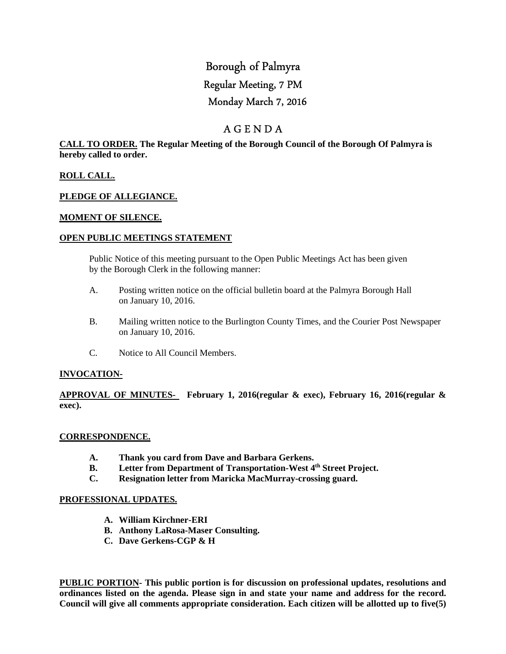# Borough of Palmyra Regular Meeting, 7 PM Monday March 7, 2016

# A G E N D A

**CALL TO ORDER. The Regular Meeting of the Borough Council of the Borough Of Palmyra is hereby called to order.** 

#### **ROLL CALL.**

#### **PLEDGE OF ALLEGIANCE.**

#### **MOMENT OF SILENCE.**

#### **OPEN PUBLIC MEETINGS STATEMENT**

 Public Notice of this meeting pursuant to the Open Public Meetings Act has been given by the Borough Clerk in the following manner:

- A. Posting written notice on the official bulletin board at the Palmyra Borough Hall on January 10, 2016.
- B. Mailing written notice to the Burlington County Times, and the Courier Post Newspaper on January 10, 2016.
- C. Notice to All Council Members.

#### **INVOCATION-**

**APPROVAL OF MINUTES- February 1, 2016(regular & exec), February 16, 2016(regular & exec).** 

#### **CORRESPONDENCE.**

- **A. Thank you card from Dave and Barbara Gerkens.**
- **B. Letter from Department of Transportation-West 4th Street Project.**
- **C. Resignation letter from Maricka MacMurray-crossing guard.**

#### **PROFESSIONAL UPDATES.**

- **A. William Kirchner-ERI**
- **B. Anthony LaRosa-Maser Consulting.**
- **C. Dave Gerkens-CGP & H**

**PUBLIC PORTION- This public portion is for discussion on professional updates, resolutions and ordinances listed on the agenda. Please sign in and state your name and address for the record. Council will give all comments appropriate consideration. Each citizen will be allotted up to five(5)**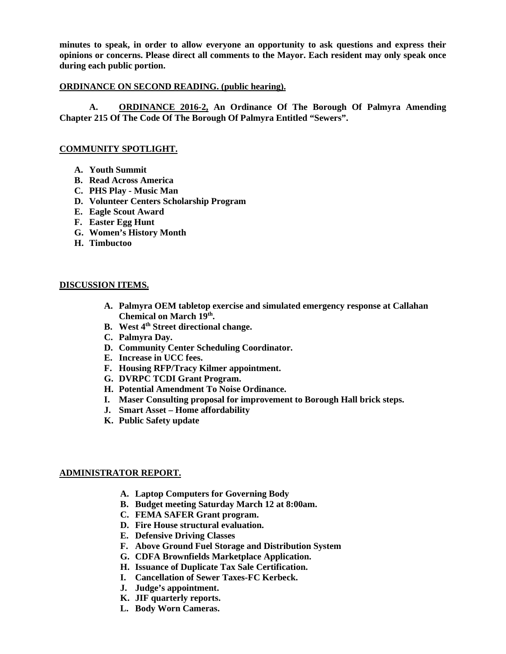**minutes to speak, in order to allow everyone an opportunity to ask questions and express their opinions or concerns. Please direct all comments to the Mayor. Each resident may only speak once during each public portion.** 

#### **ORDINANCE ON SECOND READING. (public hearing).**

 **A. ORDINANCE 2016-2, An Ordinance Of The Borough Of Palmyra Amending Chapter 215 Of The Code Of The Borough Of Palmyra Entitled "Sewers".** 

#### **COMMUNITY SPOTLIGHT.**

- **A. Youth Summit**
- **B. Read Across America**
- **C. PHS Play Music Man**
- **D. Volunteer Centers Scholarship Program**
- **E. Eagle Scout Award**
- **F. Easter Egg Hunt**
- **G. Women's History Month**
- **H. Timbuctoo**

#### **DISCUSSION ITEMS.**

- **A. Palmyra OEM tabletop exercise and simulated emergency response at Callahan Chemical on March 19th .**
- **B. West 4th Street directional change.**
- **C. Palmyra Day.**
- **D. Community Center Scheduling Coordinator.**
- **E. Increase in UCC fees.**
- **F. Housing RFP/Tracy Kilmer appointment.**
- **G. DVRPC TCDI Grant Program.**
- **H. Potential Amendment To Noise Ordinance.**
- **I. Maser Consulting proposal for improvement to Borough Hall brick steps.**
- **J. Smart Asset Home affordability**
- **K. Public Safety update**

#### **ADMINISTRATOR REPORT.**

- **A. Laptop Computers for Governing Body**
- **B. Budget meeting Saturday March 12 at 8:00am.**
- **C. FEMA SAFER Grant program.**
- **D. Fire House structural evaluation.**
- **E. Defensive Driving Classes**
- **F. Above Ground Fuel Storage and Distribution System**
- **G. CDFA Brownfields Marketplace Application.**
- **H. Issuance of Duplicate Tax Sale Certification.**
- **I. Cancellation of Sewer Taxes-FC Kerbeck.**
- **J. Judge's appointment.**
- **K. JIF quarterly reports.**
- **L. Body Worn Cameras.**